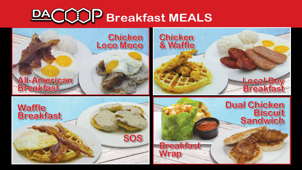

# **Chicken Loco Moco**

**Chicken & Waffle**







# **Dual Chicken Biscuit Sandwich**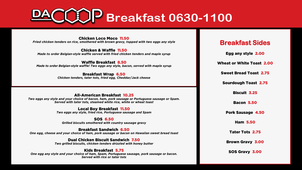#### Chicken Loco Moco 11.50

*Fried chicken tenders on rice, smothered with brown gravy, topped with two eggs any style*

#### Chicken & Waffle 11.50

*Made to order Belgian-style waffle served with fried chicken tenders and maple syrup*

### Waffle Breakfast 8.50

*Made to order Belgian-style waffle! Two eggs any style, bacon, served with maple syrup*

### Breakfast Wrap 6.50

*Chicken tenders, tater tots, fried egg, Cheddar/Jack cheese*

### All-American Breakfast 10.25

*Two eggs any style and your choice of bacon, ham, pork sausage or Portuguese sausage or Spam. Served with tater tots, steamed white rice, white or wheat toast*

### Local Boy Breakfast 11.50

*Two eggs any style, fried rice, Portuguese sausage and Spam*

### SOS 6.50

*Grilled biscuits smothered with country sausage gravy*

### Breakfast Sandwich 6.50

*One egg, cheese and your choice of ham, pork sausage or bacon on Hawaiian sweet bread toast*

### Dual Chicken Biscuit Sandwich 7.50

*Two grilled biscuits, chicken tenders drizzled with honey butter*

### Kids Breakfast 5.75

*One egg any style and your choice of ham, Spam, Portuguese sausage, pork sausage or bacon. Served with rice or tater tots*

### **Breakfast Sides**

Egg any style 2.00

Wheat or White Toast 2.00

Sweet Bread Toast 2.75

Sourdough Toast 2.75

Biscuit 3.25

Bacon 5.50

Pork Sausage 4.50

Ham 5.50

Tater Tots 2.75

Brown Gravy 3.00

SOS Gravy 3.00

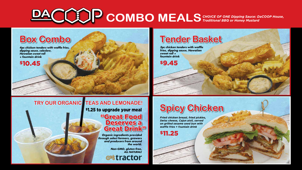# **COMBO MEALS**

*Fried chicken breast, fried pickles, Swiss cheese, Cajun aioli, served on grilled sesame seed bun with waffle fries + fountain drink*

\$11.25







\$1.25 to upgrade your meal

*Organic ingredients provided through select farmers, growers and producers from around the world.* 

> *Non-GMO, gluten-free, ALL NATURAL!*

**ortractor** 

## **TRY OUR ORGANIC TEAS AND LEMONADE!**

*3pc chicken tenders with waffle fries, dipping sauce, Hawaiian sweet roll + fountain drink*

\$9.45

## **Tender Basket**

### *4pc chicken tenders with waffle fries, dipping sauce, coleslaw, Hawaiian sweet roll + fountain drink* \$10.45 **Box Combo**

"Great Food Deserves a Great Drink"